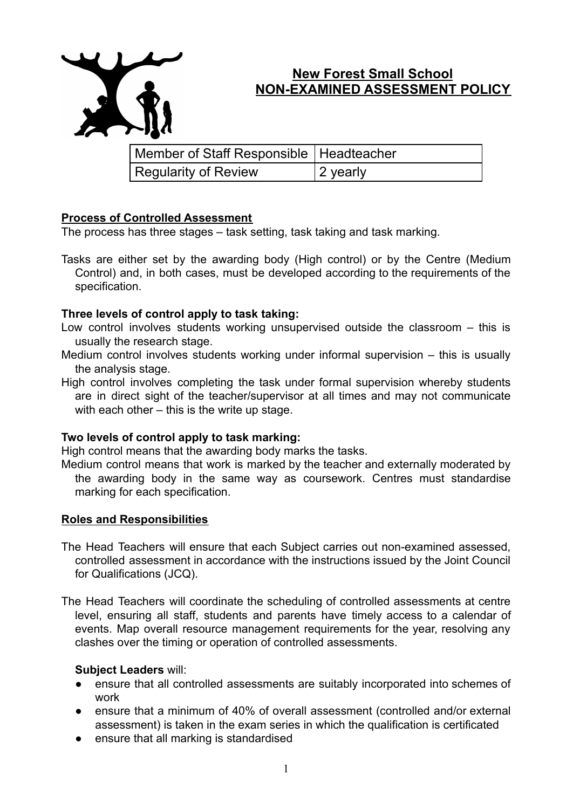

# **New Forest Small School NON-EXAMINED ASSESSMENT POLICY**

| Member of Staff Responsible   Headteacher |          |
|-------------------------------------------|----------|
| Regularity of Review                      | 2 yearly |

## **Process of Controlled Assessment**

The process has three stages – task setting, task taking and task marking.

Tasks are either set by the awarding body (High control) or by the Centre (Medium Control) and, in both cases, must be developed according to the requirements of the specification.

## **Three levels of control apply to task taking:**

- Low control involves students working unsupervised outside the classroom this is usually the research stage.
- Medium control involves students working under informal supervision this is usually the analysis stage.
- High control involves completing the task under formal supervision whereby students are in direct sight of the teacher/supervisor at all times and may not communicate with each other – this is the write up stage.

## **Two levels of control apply to task marking:**

High control means that the awarding body marks the tasks.

Medium control means that work is marked by the teacher and externally moderated by the awarding body in the same way as coursework. Centres must standardise marking for each specification.

## **Roles and Responsibilities**

The Head Teachers will ensure that each Subject carries out non-examined assessed, controlled assessment in accordance with the instructions issued by the Joint Council for Qualifications (JCQ).

The Head Teachers will coordinate the scheduling of controlled assessments at centre level, ensuring all staff, students and parents have timely access to a calendar of events. Map overall resource management requirements for the year, resolving any clashes over the timing or operation of controlled assessments.

## **Subject Leaders** will:

- ensure that all controlled assessments are suitably incorporated into schemes of work
- ensure that a minimum of 40% of overall assessment (controlled and/or external assessment) is taken in the exam series in which the qualification is certificated
- ensure that all marking is standardised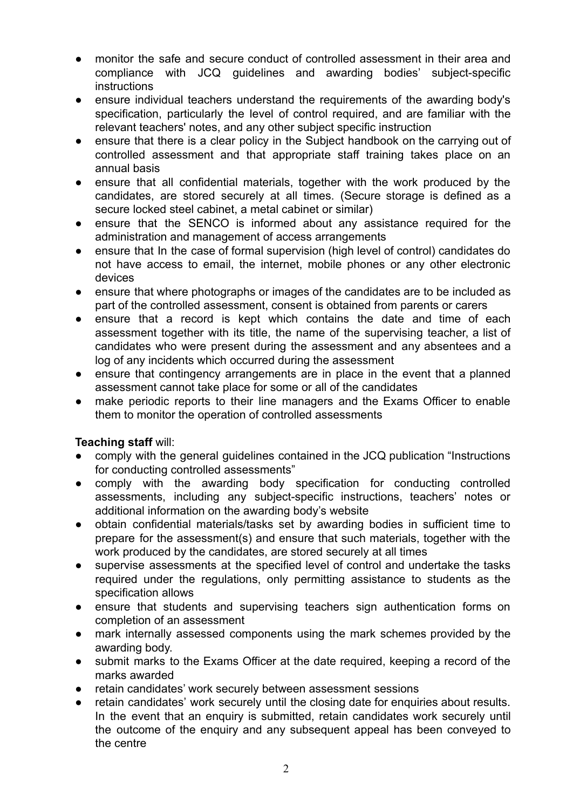- monitor the safe and secure conduct of controlled assessment in their area and compliance with JCQ guidelines and awarding bodies' subject-specific **instructions**
- ensure individual teachers understand the requirements of the awarding body's specification, particularly the level of control required, and are familiar with the relevant teachers' notes, and any other subject specific instruction
- ensure that there is a clear policy in the Subject handbook on the carrying out of controlled assessment and that appropriate staff training takes place on an annual basis
- ensure that all confidential materials, together with the work produced by the candidates, are stored securely at all times. (Secure storage is defined as a secure locked steel cabinet, a metal cabinet or similar)
- ensure that the SENCO is informed about any assistance required for the administration and management of access arrangements
- ensure that In the case of formal supervision (high level of control) candidates do not have access to email, the internet, mobile phones or any other electronic devices
- ensure that where photographs or images of the candidates are to be included as part of the controlled assessment, consent is obtained from parents or carers
- ensure that a record is kept which contains the date and time of each assessment together with its title, the name of the supervising teacher, a list of candidates who were present during the assessment and any absentees and a log of any incidents which occurred during the assessment
- ensure that contingency arrangements are in place in the event that a planned assessment cannot take place for some or all of the candidates
- make periodic reports to their line managers and the Exams Officer to enable them to monitor the operation of controlled assessments

## **Teaching staff** will:

- comply with the general guidelines contained in the JCQ publication "Instructions" for conducting controlled assessments"
- comply with the awarding body specification for conducting controlled assessments, including any subject-specific instructions, teachers' notes or additional information on the awarding body's website
- obtain confidential materials/tasks set by awarding bodies in sufficient time to prepare for the assessment(s) and ensure that such materials, together with the work produced by the candidates, are stored securely at all times
- supervise assessments at the specified level of control and undertake the tasks required under the regulations, only permitting assistance to students as the specification allows
- ensure that students and supervising teachers sign authentication forms on completion of an assessment
- mark internally assessed components using the mark schemes provided by the awarding body.
- submit marks to the Exams Officer at the date required, keeping a record of the marks awarded
- retain candidates' work securely between assessment sessions
- retain candidates' work securely until the closing date for enquiries about results. In the event that an enquiry is submitted, retain candidates work securely until the outcome of the enquiry and any subsequent appeal has been conveyed to the centre